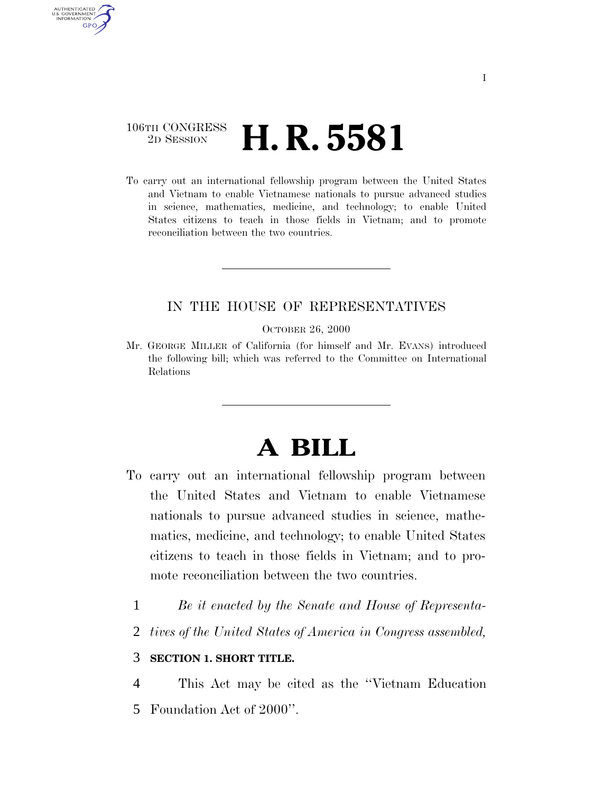# 106TH CONGRESS <sup>2D Session</sup> **H. R. 5581**

AUTHENTICATED U.S. GOVERNMENT GPO

> To carry out an international fellowship program between the United States and Vietnam to enable Vietnamese nationals to pursue advanced studies in science, mathematics, medicine, and technology; to enable United States citizens to teach in those fields in Vietnam; and to promote reconciliation between the two countries.

# IN THE HOUSE OF REPRESENTATIVES

OCTOBER 26, 2000

Mr. GEORGE MILLER of California (for himself and Mr. EVANS) introduced the following bill; which was referred to the Committee on International Relations

# **A BILL**

- To carry out an international fellowship program between the United States and Vietnam to enable Vietnamese nationals to pursue advanced studies in science, mathematics, medicine, and technology; to enable United States citizens to teach in those fields in Vietnam; and to promote reconciliation between the two countries.
	- 1 *Be it enacted by the Senate and House of Representa-*
	- 2 *tives of the United States of America in Congress assembled,*

## 3 **SECTION 1. SHORT TITLE.**

4 This Act may be cited as the ''Vietnam Education

5 Foundation Act of 2000''.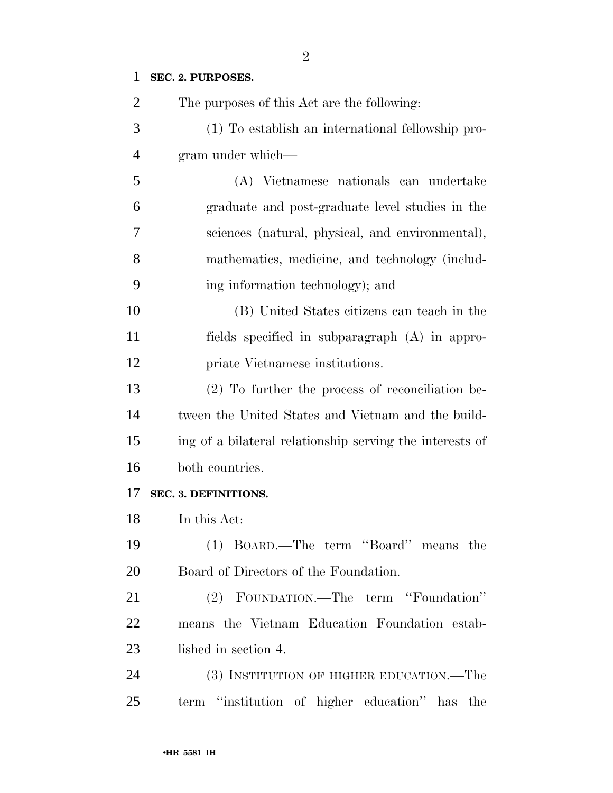# **SEC. 2. PURPOSES.**

| $\overline{2}$ | The purposes of this Act are the following:              |
|----------------|----------------------------------------------------------|
| 3              | (1) To establish an international fellowship pro-        |
| $\overline{4}$ | gram under which—                                        |
| 5              | (A) Vietnamese nationals can undertake                   |
| 6              | graduate and post-graduate level studies in the          |
| 7              | sciences (natural, physical, and environmental),         |
| 8              | mathematics, medicine, and technology (includ-           |
| 9              | ing information technology); and                         |
| 10             | (B) United States citizens can teach in the              |
| 11             | fields specified in subparagraph (A) in appro-           |
| 12             | priate Vietnamese institutions.                          |
| 13             | $(2)$ To further the process of reconciliation be-       |
| 14             | tween the United States and Vietnam and the build-       |
| 15             | ing of a bilateral relationship serving the interests of |
| 16             | both countries.                                          |
| 17             | SEC. 3. DEFINITIONS.                                     |
| 18             | In this Act:                                             |
| 19             | (1) BOARD.—The term "Board" means the                    |
| 20             | Board of Directors of the Foundation.                    |
| 21             | (2) FOUNDATION.—The term "Foundation"                    |
| 22             | means the Vietnam Education Foundation estab-            |
| 23             | lished in section 4.                                     |
| 24             | (3) INSTITUTION OF HIGHER EDUCATION.—The                 |
| 25             | term "institution of higher education" has<br>the        |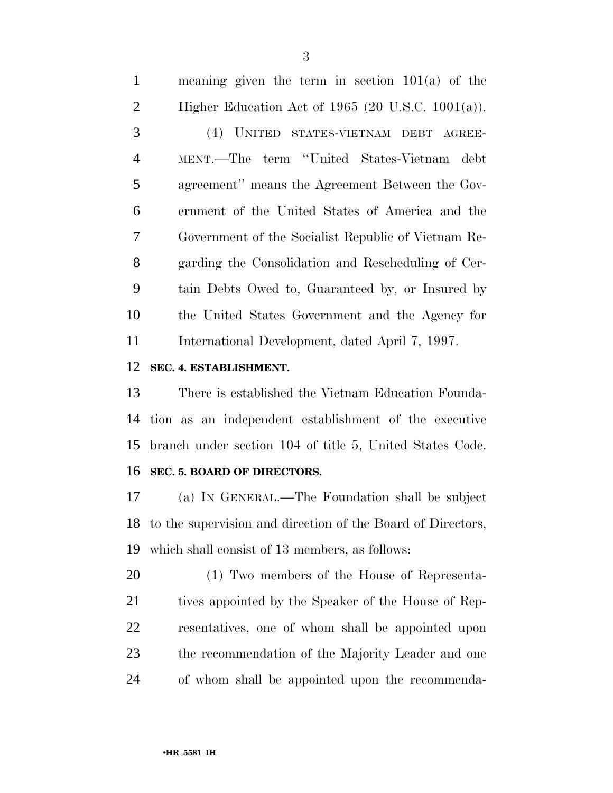#### **SEC. 4. ESTABLISHMENT.**

 There is established the Vietnam Education Founda- tion as an independent establishment of the executive branch under section 104 of title 5, United States Code. **SEC. 5. BOARD OF DIRECTORS.**

 (a) IN GENERAL.—The Foundation shall be subject to the supervision and direction of the Board of Directors, which shall consist of 13 members, as follows:

 (1) Two members of the House of Representa-21 tives appointed by the Speaker of the House of Rep- resentatives, one of whom shall be appointed upon the recommendation of the Majority Leader and one of whom shall be appointed upon the recommenda-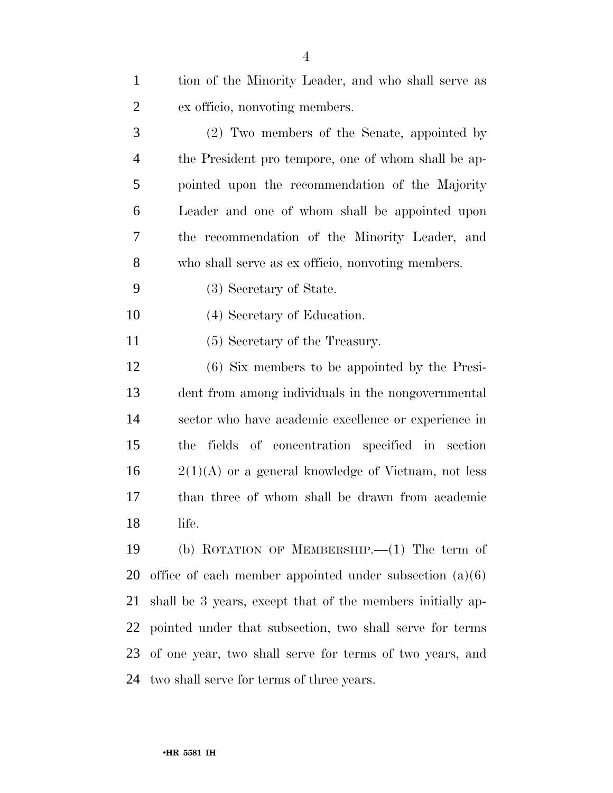| $\mathbf{1}$   | tion of the Minority Leader, and who shall serve as        |
|----------------|------------------------------------------------------------|
| $\overline{c}$ | ex officio, nonvoting members.                             |
| 3              | (2) Two members of the Senate, appointed by                |
| $\overline{4}$ | the President pro tempore, one of whom shall be ap-        |
| 5              | pointed upon the recommendation of the Majority            |
| 6              | Leader and one of whom shall be appointed upon             |
| 7              | the recommendation of the Minority Leader, and             |
| 8              | who shall serve as ex officio, nonvoting members.          |
| 9              | (3) Secretary of State.                                    |
| 10             | (4) Secretary of Education.                                |
| 11             | (5) Secretary of the Treasury.                             |
| 12             | (6) Six members to be appointed by the Presi-              |
| 13             | dent from among individuals in the nongovernmental         |
| 14             | sector who have academic excellence or experience in       |
| 15             | fields of concentration specified in section<br>the        |
| 16             | $2(1)(A)$ or a general knowledge of Vietnam, not less      |
| 17             | than three of whom shall be drawn from academic            |
| 18             | life.                                                      |
| 19             | (b) ROTATION OF MEMBERSHIP. $-(1)$ The term of             |
| <b>20</b>      | office of each member appointed under subsection $(a)(6)$  |
| 21             | shall be 3 years, except that of the members initially ap- |
| 22             | pointed under that subsection, two shall serve for terms   |
| 23             | of one year, two shall serve for terms of two years, and   |
| 24             | two shall serve for terms of three years.                  |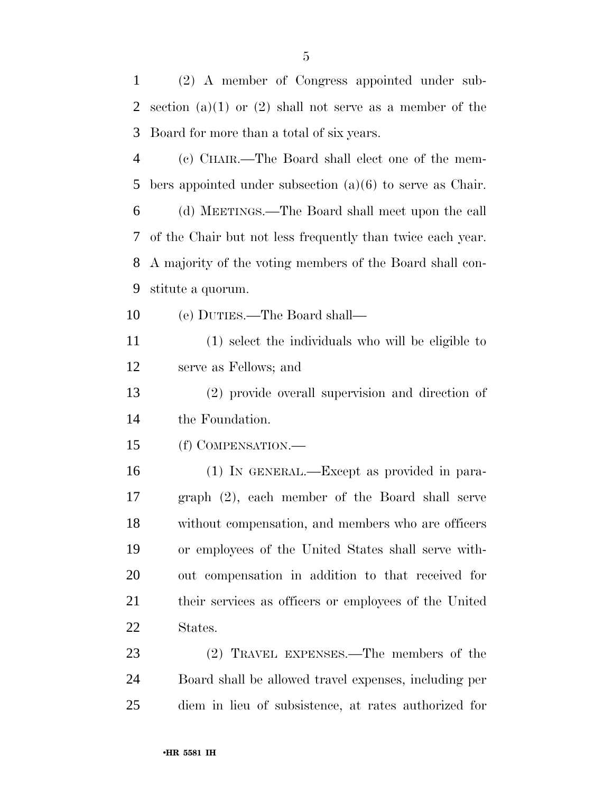(2) A member of Congress appointed under sub- section (a)(1) or (2) shall not serve as a member of the Board for more than a total of six years.

 (c) CHAIR.—The Board shall elect one of the mem-bers appointed under subsection (a)(6) to serve as Chair.

 (d) MEETINGS.—The Board shall meet upon the call of the Chair but not less frequently than twice each year. A majority of the voting members of the Board shall con-stitute a quorum.

(e) DUTIES.—The Board shall—

 (1) select the individuals who will be eligible to serve as Fellows; and

 (2) provide overall supervision and direction of the Foundation.

(f) COMPENSATION.—

 (1) IN GENERAL.—Except as provided in para- graph (2), each member of the Board shall serve without compensation, and members who are officers or employees of the United States shall serve with- out compensation in addition to that received for their services as officers or employees of the United States.

 (2) TRAVEL EXPENSES.—The members of the Board shall be allowed travel expenses, including per diem in lieu of subsistence, at rates authorized for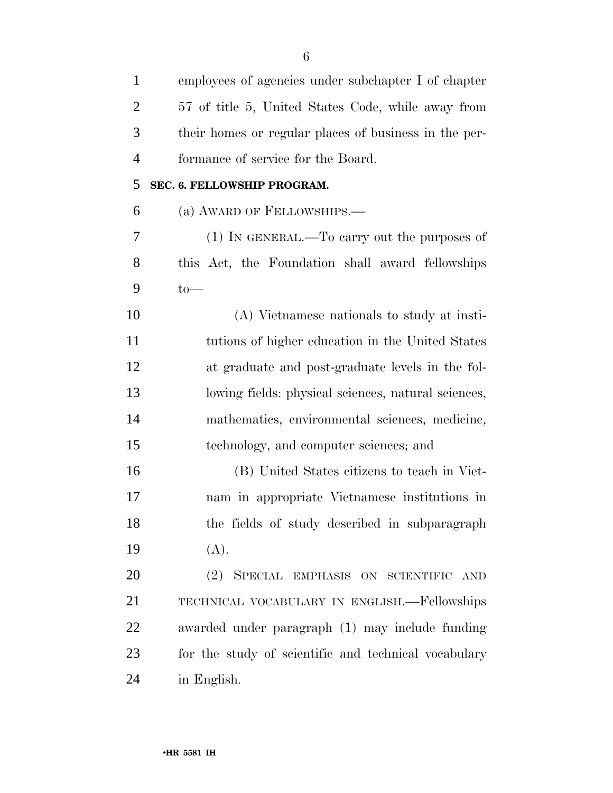| $\mathbf{1}$   | employees of agencies under subchapter I of chapter   |
|----------------|-------------------------------------------------------|
| $\overline{c}$ | 57 of title 5, United States Code, while away from    |
| 3              | their homes or regular places of business in the per- |
| 4              | formance of service for the Board.                    |
| 5              | SEC. 6. FELLOWSHIP PROGRAM.                           |
| 6              | (a) AWARD OF FELLOWSHIPS.                             |
| 7              | $(1)$ In GENERAL.—To carry out the purposes of        |
| 8              | this Act, the Foundation shall award fellowships      |
| 9              | $to-$                                                 |
| 10             | (A) Vietnamese nationals to study at insti-           |
| 11             | tutions of higher education in the United States      |
| 12             | at graduate and post-graduate levels in the fol-      |
| 13             | lowing fields: physical sciences, natural sciences,   |
| 14             | mathematics, environmental sciences, medicine,        |
| 15             | technology, and computer sciences; and                |
| 16             | (B) United States citizens to teach in Viet-          |
| 17             | nam in appropriate Vietnamese institutions in         |
| 18             | the fields of study described in subparagraph         |
| 19             | (A).                                                  |
| 20             | (2) SPECIAL EMPHASIS ON SCIENTIFIC AND                |
| 21             | TECHNICAL VOCABULARY IN ENGLISH.—Fellowships          |
| 22             | awarded under paragraph (1) may include funding       |
| 23             | for the study of scientific and technical vocabulary  |
| 24             | in English.                                           |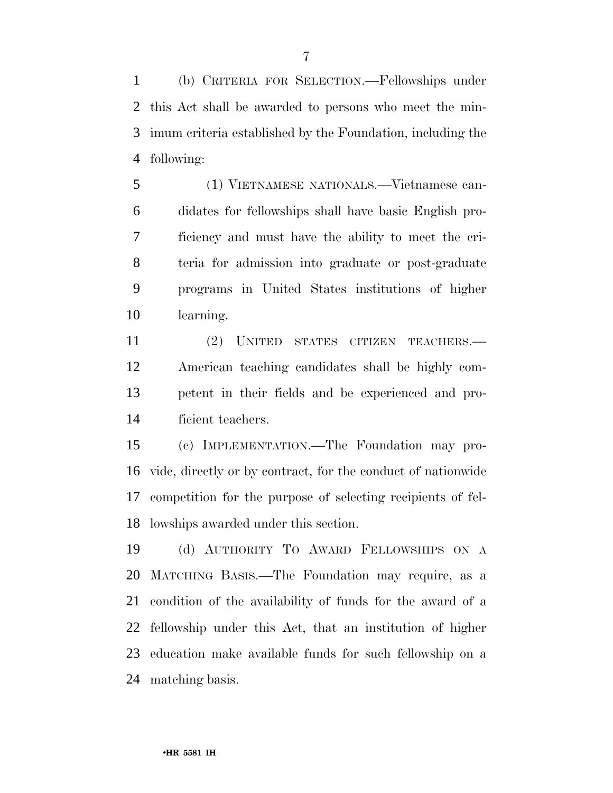(b) CRITERIA FOR SELECTION.—Fellowships under this Act shall be awarded to persons who meet the min- imum criteria established by the Foundation, including the following:

 (1) VIETNAMESE NATIONALS.—Vietnamese can- didates for fellowships shall have basic English pro- ficiency and must have the ability to meet the cri- teria for admission into graduate or post-graduate programs in United States institutions of higher learning.

 (2) UNITED STATES CITIZEN TEACHERS.— American teaching candidates shall be highly com- petent in their fields and be experienced and pro-ficient teachers.

 (c) IMPLEMENTATION.—The Foundation may pro- vide, directly or by contract, for the conduct of nationwide competition for the purpose of selecting recipients of fel-lowships awarded under this section.

 (d) AUTHORITY TO AWARD FELLOWSHIPS ON A MATCHING BASIS.—The Foundation may require, as a condition of the availability of funds for the award of a fellowship under this Act, that an institution of higher education make available funds for such fellowship on a matching basis.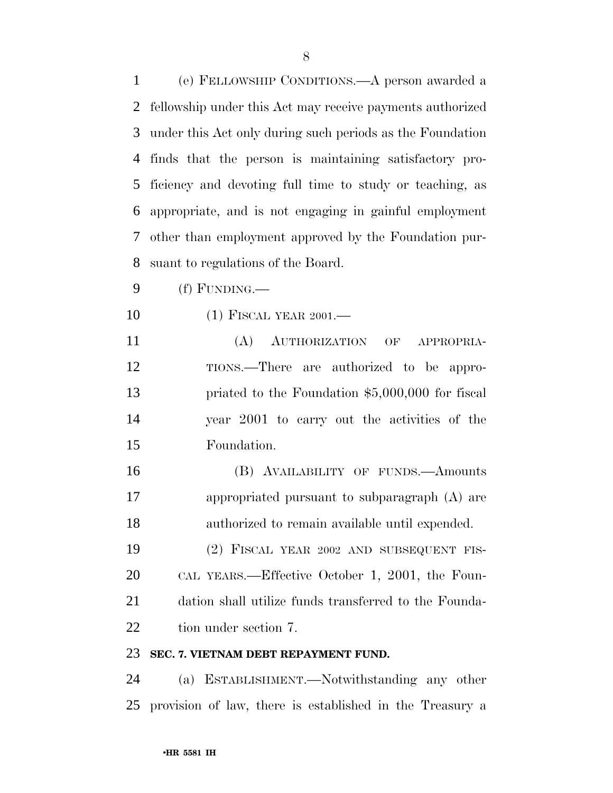(e) FELLOWSHIP CONDITIONS.—A person awarded a fellowship under this Act may receive payments authorized under this Act only during such periods as the Foundation finds that the person is maintaining satisfactory pro- ficiency and devoting full time to study or teaching, as appropriate, and is not engaging in gainful employment other than employment approved by the Foundation pur-suant to regulations of the Board.

- (f) FUNDING.—
- 10 (1) FISCAL YEAR 2001.—
- (A) AUTHORIZATION OF APPROPRIA- TIONS.—There are authorized to be appro- priated to the Foundation \$5,000,000 for fiscal year 2001 to carry out the activities of the Foundation.
- (B) AVAILABILITY OF FUNDS.—Amounts appropriated pursuant to subparagraph (A) are authorized to remain available until expended.
- (2) FISCAL YEAR 2002 AND SUBSEQUENT FIS- CAL YEARS.—Effective October 1, 2001, the Foun- dation shall utilize funds transferred to the Founda-22 tion under section 7.

#### **SEC. 7. VIETNAM DEBT REPAYMENT FUND.**

 (a) ESTABLISHMENT.—Notwithstanding any other provision of law, there is established in the Treasury a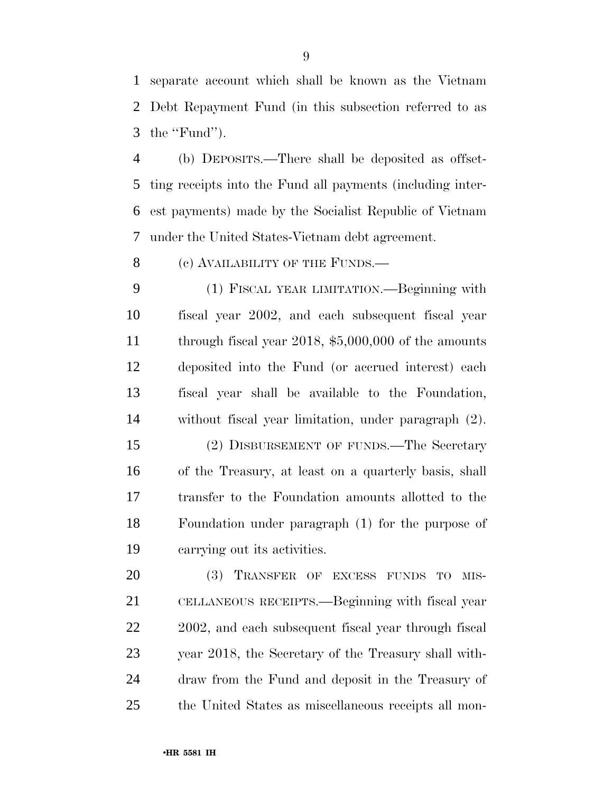separate account which shall be known as the Vietnam Debt Repayment Fund (in this subsection referred to as the ''Fund'').

 (b) DEPOSITS.—There shall be deposited as offset- ting receipts into the Fund all payments (including inter- est payments) made by the Socialist Republic of Vietnam under the United States-Vietnam debt agreement.

8 (c) AVAILABILITY OF THE FUNDS.—

 (1) FISCAL YEAR LIMITATION.—Beginning with fiscal year 2002, and each subsequent fiscal year 11 through fiscal year 2018, \$5,000,000 of the amounts deposited into the Fund (or accrued interest) each fiscal year shall be available to the Foundation, without fiscal year limitation, under paragraph (2).

 (2) DISBURSEMENT OF FUNDS.—The Secretary of the Treasury, at least on a quarterly basis, shall transfer to the Foundation amounts allotted to the Foundation under paragraph (1) for the purpose of carrying out its activities.

 (3) TRANSFER OF EXCESS FUNDS TO MIS- CELLANEOUS RECEIPTS.—Beginning with fiscal year 22 2002, and each subsequent fiscal year through fiscal year 2018, the Secretary of the Treasury shall with- draw from the Fund and deposit in the Treasury of the United States as miscellaneous receipts all mon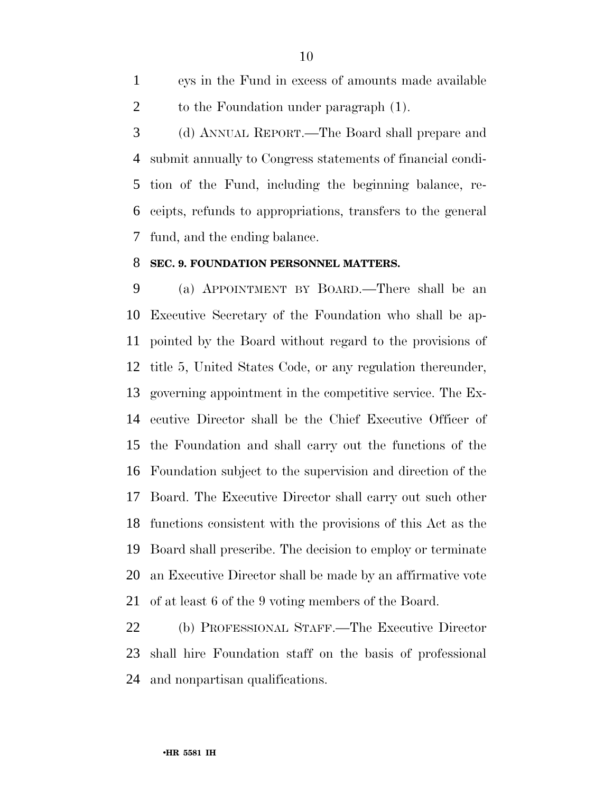eys in the Fund in excess of amounts made available 2 to the Foundation under paragraph  $(1)$ .

 (d) ANNUAL REPORT.—The Board shall prepare and submit annually to Congress statements of financial condi- tion of the Fund, including the beginning balance, re- ceipts, refunds to appropriations, transfers to the general fund, and the ending balance.

#### **SEC. 9. FOUNDATION PERSONNEL MATTERS.**

 (a) APPOINTMENT BY BOARD.—There shall be an Executive Secretary of the Foundation who shall be ap- pointed by the Board without regard to the provisions of title 5, United States Code, or any regulation thereunder, governing appointment in the competitive service. The Ex- ecutive Director shall be the Chief Executive Officer of the Foundation and shall carry out the functions of the Foundation subject to the supervision and direction of the Board. The Executive Director shall carry out such other functions consistent with the provisions of this Act as the Board shall prescribe. The decision to employ or terminate an Executive Director shall be made by an affirmative vote of at least 6 of the 9 voting members of the Board.

 (b) PROFESSIONAL STAFF.—The Executive Director shall hire Foundation staff on the basis of professional and nonpartisan qualifications.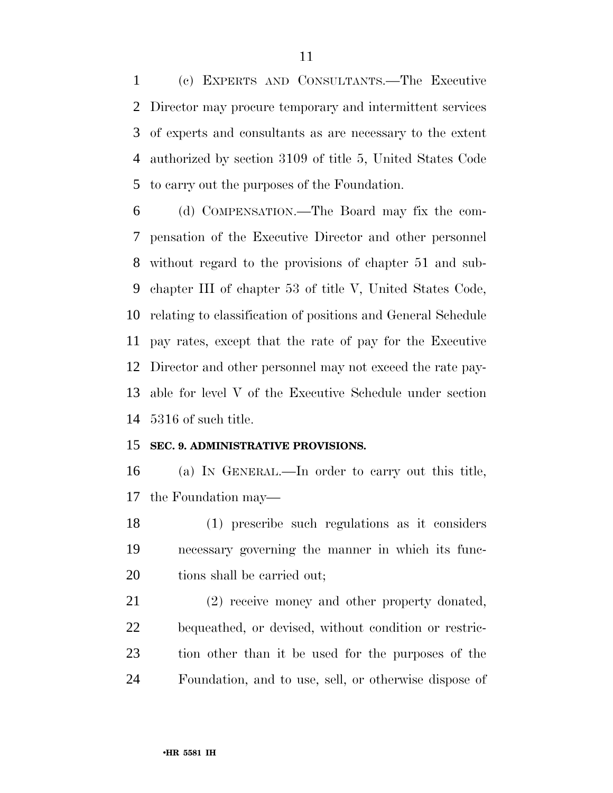(c) EXPERTS AND CONSULTANTS.—The Executive Director may procure temporary and intermittent services of experts and consultants as are necessary to the extent authorized by section 3109 of title 5, United States Code to carry out the purposes of the Foundation.

 (d) COMPENSATION.—The Board may fix the com- pensation of the Executive Director and other personnel without regard to the provisions of chapter 51 and sub- chapter III of chapter 53 of title V, United States Code, relating to classification of positions and General Schedule pay rates, except that the rate of pay for the Executive Director and other personnel may not exceed the rate pay- able for level V of the Executive Schedule under section 5316 of such title.

### **SEC. 9. ADMINISTRATIVE PROVISIONS.**

 (a) IN GENERAL.—In order to carry out this title, the Foundation may—

 (1) prescribe such regulations as it considers necessary governing the manner in which its func-20 tions shall be carried out;

 (2) receive money and other property donated, bequeathed, or devised, without condition or restric- tion other than it be used for the purposes of the Foundation, and to use, sell, or otherwise dispose of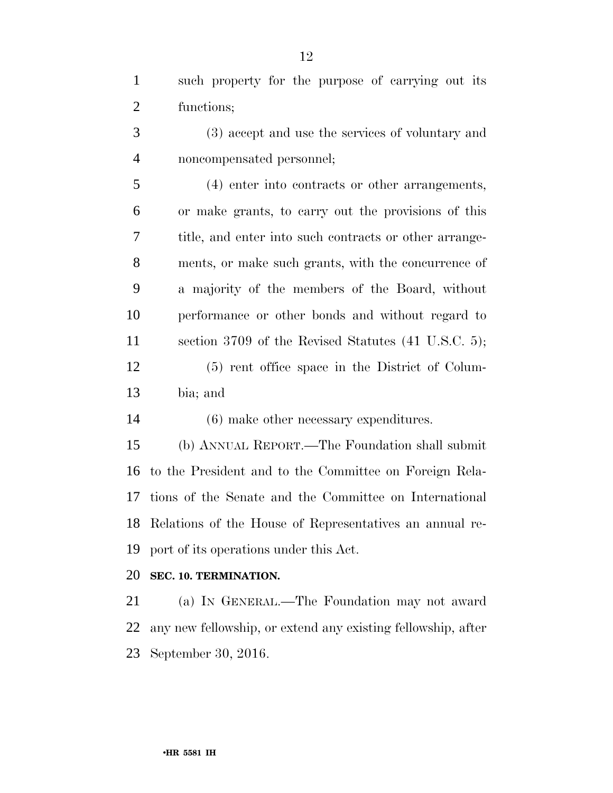such property for the purpose of carrying out its functions;

 (3) accept and use the services of voluntary and noncompensated personnel;

 (4) enter into contracts or other arrangements, or make grants, to carry out the provisions of this title, and enter into such contracts or other arrange- ments, or make such grants, with the concurrence of a majority of the members of the Board, without performance or other bonds and without regard to section 3709 of the Revised Statutes (41 U.S.C. 5); (5) rent office space in the District of Colum-bia; and

(6) make other necessary expenditures.

 (b) ANNUAL REPORT.—The Foundation shall submit to the President and to the Committee on Foreign Rela- tions of the Senate and the Committee on International Relations of the House of Representatives an annual re-port of its operations under this Act.

## **SEC. 10. TERMINATION.**

 (a) IN GENERAL.—The Foundation may not award any new fellowship, or extend any existing fellowship, after September 30, 2016.